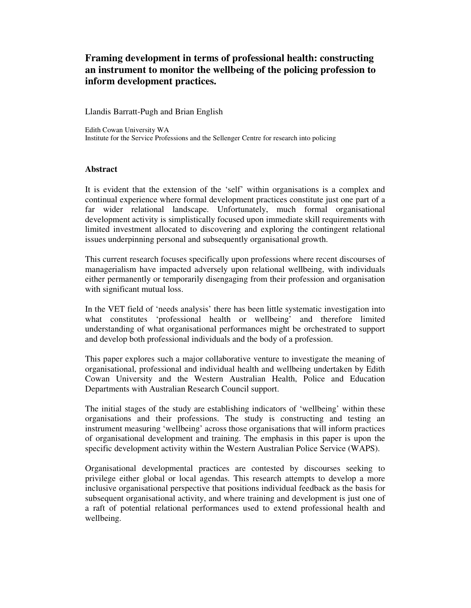# **Framing development in terms of professional health: constructing an instrument to monitor the wellbeing of the policing profession to inform development practices.**

Llandis Barratt-Pugh and Brian English

Edith Cowan University WA Institute for the Service Professions and the Sellenger Centre for research into policing

## **Abstract**

It is evident that the extension of the 'self' within organisations is a complex and continual experience where formal development practices constitute just one part of a far wider relational landscape. Unfortunately, much formal organisational development activity is simplistically focused upon immediate skill requirements with limited investment allocated to discovering and exploring the contingent relational issues underpinning personal and subsequently organisational growth.

This current research focuses specifically upon professions where recent discourses of managerialism have impacted adversely upon relational wellbeing, with individuals either permanently or temporarily disengaging from their profession and organisation with significant mutual loss.

In the VET field of 'needs analysis' there has been little systematic investigation into what constitutes 'professional health or wellbeing' and therefore limited understanding of what organisational performances might be orchestrated to support and develop both professional individuals and the body of a profession.

This paper explores such a major collaborative venture to investigate the meaning of organisational, professional and individual health and wellbeing undertaken by Edith Cowan University and the Western Australian Health, Police and Education Departments with Australian Research Council support.

The initial stages of the study are establishing indicators of 'wellbeing' within these organisations and their professions. The study is constructing and testing an instrument measuring 'wellbeing' across those organisations that will inform practices of organisational development and training. The emphasis in this paper is upon the specific development activity within the Western Australian Police Service (WAPS).

Organisational developmental practices are contested by discourses seeking to privilege either global or local agendas. This research attempts to develop a more inclusive organisational perspective that positions individual feedback as the basis for subsequent organisational activity, and where training and development is just one of a raft of potential relational performances used to extend professional health and wellbeing.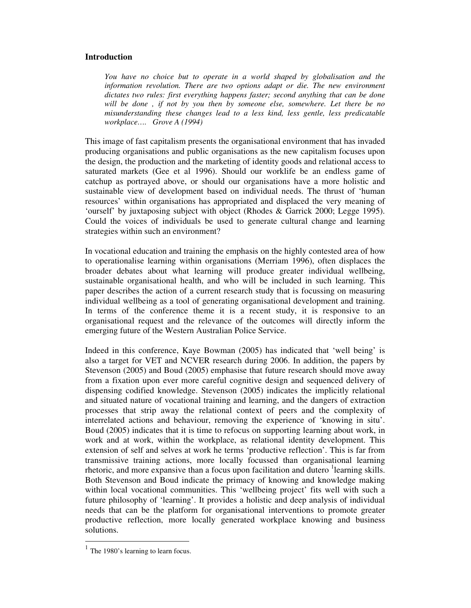## **Introduction**

*You have no choice but to operate in a world shaped by globalisation and the information revolution. There are two options adapt or die. The new environment dictates two rules: first everything happens faster; second anything that can be done will be done , if not by you then by someone else, somewhere. Let there be no misunderstanding these changes lead to a less kind, less gentle, less predicatable workplace…. Grove A (1994)*

This image of fast capitalism presents the organisational environment that has invaded producing organisations and public organisations as the new capitalism focuses upon the design, the production and the marketing of identity goods and relational access to saturated markets (Gee et al 1996). Should our worklife be an endless game of catchup as portrayed above, or should our organisations have a more holistic and sustainable view of development based on individual needs. The thrust of 'human resources' within organisations has appropriated and displaced the very meaning of 'ourself' by juxtaposing subject with object (Rhodes & Garrick 2000; Legge 1995). Could the voices of individuals be used to generate cultural change and learning strategies within such an environment?

In vocational education and training the emphasis on the highly contested area of how to operationalise learning within organisations (Merriam 1996), often displaces the broader debates about what learning will produce greater individual wellbeing, sustainable organisational health, and who will be included in such learning. This paper describes the action of a current research study that is focussing on measuring individual wellbeing as a tool of generating organisational development and training. In terms of the conference theme it is a recent study, it is responsive to an organisational request and the relevance of the outcomes will directly inform the emerging future of the Western Australian Police Service.

Indeed in this conference, Kaye Bowman (2005) has indicated that 'well being' is also a target for VET and NCVER research during 2006. In addition, the papers by Stevenson (2005) and Boud (2005) emphasise that future research should move away from a fixation upon ever more careful cognitive design and sequenced delivery of dispensing codified knowledge. Stevenson (2005) indicates the implicitly relational and situated nature of vocational training and learning, and the dangers of extraction processes that strip away the relational context of peers and the complexity of interrelated actions and behaviour, removing the experience of 'knowing in situ'. Boud (2005) indicates that it is time to refocus on supporting learning about work, in work and at work, within the workplace, as relational identity development. This extension of self and selves at work he terms 'productive reflection'. This is far from transmissive training actions, more locally focussed than organisational learning rhetoric, and more expansive than a focus upon facilitation and dutero <sup>1</sup>learning skills. Both Stevenson and Boud indicate the primacy of knowing and knowledge making within local vocational communities. This 'wellbeing project' fits well with such a future philosophy of 'learning'. It provides a holistic and deep analysis of individual needs that can be the platform for organisational interventions to promote greater productive reflection, more locally generated workplace knowing and business solutions.

 $<sup>1</sup>$  The 1980's learning to learn focus.</sup>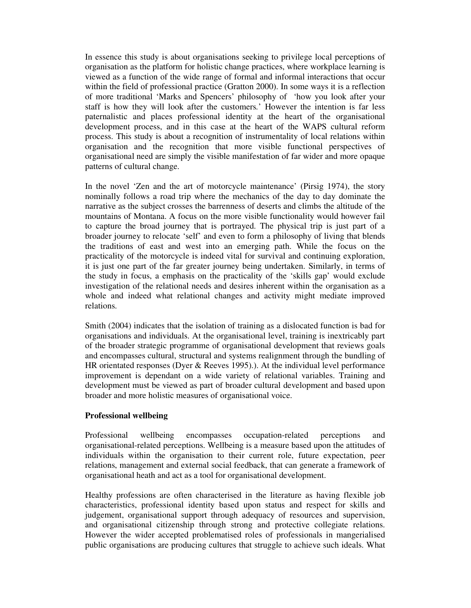In essence this study is about organisations seeking to privilege local perceptions of organisation as the platform for holistic change practices, where workplace learning is viewed as a function of the wide range of formal and informal interactions that occur within the field of professional practice (Gratton 2000). In some ways it is a reflection of more traditional 'Marks and Spencers' philosophy of 'how you look after your staff is how they will look after the customers*.*' However the intention is far less paternalistic and places professional identity at the heart of the organisational development process, and in this case at the heart of the WAPS cultural reform process. This study is about a recognition of instrumentality of local relations within organisation and the recognition that more visible functional perspectives of organisational need are simply the visible manifestation of far wider and more opaque patterns of cultural change.

In the novel 'Zen and the art of motorcycle maintenance' (Pirsig 1974), the story nominally follows a road trip where the mechanics of the day to day dominate the narrative as the subject crosses the barrenness of deserts and climbs the altitude of the mountains of Montana. A focus on the more visible functionality would however fail to capture the broad journey that is portrayed. The physical trip is just part of a broader journey to relocate 'self' and even to form a philosophy of living that blends the traditions of east and west into an emerging path. While the focus on the practicality of the motorcycle is indeed vital for survival and continuing exploration, it is just one part of the far greater journey being undertaken. Similarly, in terms of the study in focus, a emphasis on the practicality of the 'skills gap' would exclude investigation of the relational needs and desires inherent within the organisation as a whole and indeed what relational changes and activity might mediate improved relations.

Smith (2004) indicates that the isolation of training as a dislocated function is bad for organisations and individuals. At the organisational level, training is inextricably part of the broader strategic programme of organisational development that reviews goals and encompasses cultural, structural and systems realignment through the bundling of HR orientated responses (Dyer & Reeves 1995).). At the individual level performance improvement is dependant on a wide variety of relational variables. Training and development must be viewed as part of broader cultural development and based upon broader and more holistic measures of organisational voice.

## **Professional wellbeing**

Professional wellbeing encompasses occupation-related perceptions and organisational-related perceptions. Wellbeing is a measure based upon the attitudes of individuals within the organisation to their current role, future expectation, peer relations, management and external social feedback, that can generate a framework of organisational heath and act as a tool for organisational development.

Healthy professions are often characterised in the literature as having flexible job characteristics, professional identity based upon status and respect for skills and judgement, organisational support through adequacy of resources and supervision, and organisational citizenship through strong and protective collegiate relations. However the wider accepted problematised roles of professionals in mangerialised public organisations are producing cultures that struggle to achieve such ideals. What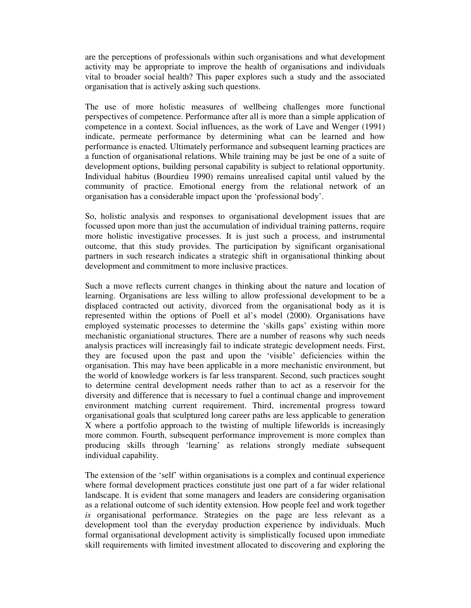are the perceptions of professionals within such organisations and what development activity may be appropriate to improve the health of organisations and individuals vital to broader social health? This paper explores such a study and the associated organisation that is actively asking such questions.

The use of more holistic measures of wellbeing challenges more functional perspectives of competence. Performance after all is more than a simple application of competence in a context. Social influences, as the work of Lave and Wenger (1991) indicate, permeate performance by determining what can be learned and how performance is enacted. Ultimately performance and subsequent learning practices are a function of organisational relations. While training may be just be one of a suite of development options, building personal capability is subject to relational opportunity. Individual habitus (Bourdieu 1990) remains unrealised capital until valued by the community of practice. Emotional energy from the relational network of an organisation has a considerable impact upon the 'professional body'.

So, holistic analysis and responses to organisational development issues that are focussed upon more than just the accumulation of individual training patterns, require more holistic investigative processes. It is just such a process, and instrumental outcome, that this study provides. The participation by significant organisational partners in such research indicates a strategic shift in organisational thinking about development and commitment to more inclusive practices.

Such a move reflects current changes in thinking about the nature and location of learning. Organisations are less willing to allow professional development to be a displaced contracted out activity, divorced from the organisational body as it is represented within the options of Poell et al's model (2000). Organisations have employed systematic processes to determine the 'skills gaps' existing within more mechanistic organiational structures. There are a number of reasons why such needs analysis practices will increasingly fail to indicate strategic development needs. First, they are focused upon the past and upon the 'visible' deficiencies within the organisation. This may have been applicable in a more mechanistic environment, but the world of knowledge workers is far less transparent. Second, such practices sought to determine central development needs rather than to act as a reservoir for the diversity and difference that is necessary to fuel a continual change and improvement environment matching current requirement. Third, incremental progress toward organisational goals that sculptured long career paths are less applicable to generation X where a portfolio approach to the twisting of multiple lifeworlds is increasingly more common. Fourth, subsequent performance improvement is more complex than producing skills through 'learning' as relations strongly mediate subsequent individual capability.

The extension of the 'self' within organisations is a complex and continual experience where formal development practices constitute just one part of a far wider relational landscape. It is evident that some managers and leaders are considering organisation as a relational outcome of such identity extension. How people feel and work together *is* organisational performance. Strategies on the page are less relevant as a development tool than the everyday production experience by individuals. Much formal organisational development activity is simplistically focused upon immediate skill requirements with limited investment allocated to discovering and exploring the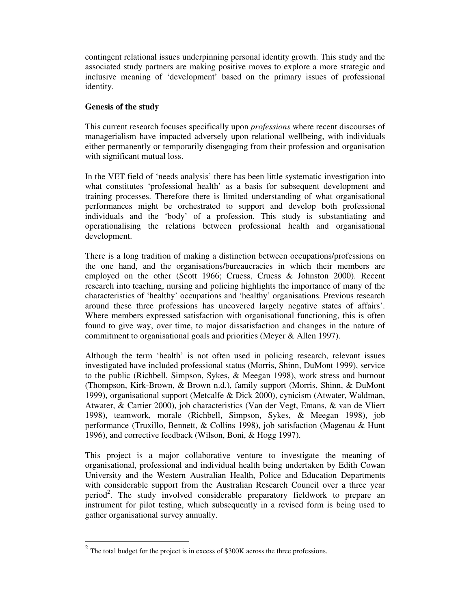contingent relational issues underpinning personal identity growth. This study and the associated study partners are making positive moves to explore a more strategic and inclusive meaning of 'development' based on the primary issues of professional identity.

## **Genesis of the study**

This current research focuses specifically upon *professions* where recent discourses of managerialism have impacted adversely upon relational wellbeing, with individuals either permanently or temporarily disengaging from their profession and organisation with significant mutual loss.

In the VET field of 'needs analysis' there has been little systematic investigation into what constitutes 'professional health' as a basis for subsequent development and training processes. Therefore there is limited understanding of what organisational performances might be orchestrated to support and develop both professional individuals and the 'body' of a profession. This study is substantiating and operationalising the relations between professional health and organisational development.

There is a long tradition of making a distinction between occupations/professions on the one hand, and the organisations/bureaucracies in which their members are employed on the other (Scott 1966; Cruess, Cruess & Johnston 2000). Recent research into teaching, nursing and policing highlights the importance of many of the characteristics of 'healthy' occupations and 'healthy' organisations. Previous research around these three professions has uncovered largely negative states of affairs'. Where members expressed satisfaction with organisational functioning, this is often found to give way, over time, to major dissatisfaction and changes in the nature of commitment to organisational goals and priorities (Meyer & Allen 1997).

Although the term 'health' is not often used in policing research, relevant issues investigated have included professional status (Morris, Shinn, DuMont 1999), service to the public (Richbell, Simpson, Sykes, & Meegan 1998), work stress and burnout (Thompson, Kirk-Brown, & Brown n.d.), family support (Morris, Shinn, & DuMont 1999), organisational support (Metcalfe & Dick 2000), cynicism (Atwater, Waldman, Atwater, & Cartier 2000), job characteristics (Van der Vegt, Emans, & van de Vliert 1998), teamwork, morale (Richbell, Simpson, Sykes, & Meegan 1998), job performance (Truxillo, Bennett, & Collins 1998), job satisfaction (Magenau & Hunt 1996), and corrective feedback (Wilson, Boni, & Hogg 1997).

This project is a major collaborative venture to investigate the meaning of organisational, professional and individual health being undertaken by Edith Cowan University and the Western Australian Health, Police and Education Departments with considerable support from the Australian Research Council over a three year period<sup>2</sup>. The study involved considerable preparatory fieldwork to prepare an instrument for pilot testing, which subsequently in a revised form is being used to gather organisational survey annually.

 $2^2$  The total budget for the project is in excess of \$300K across the three professions.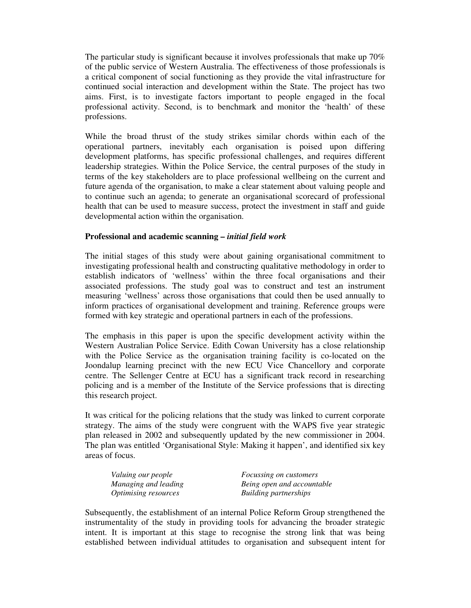The particular study is significant because it involves professionals that make up 70% of the public service of Western Australia. The effectiveness of those professionals is a critical component of social functioning as they provide the vital infrastructure for continued social interaction and development within the State. The project has two aims. First, is to investigate factors important to people engaged in the focal professional activity. Second, is to benchmark and monitor the 'health' of these professions.

While the broad thrust of the study strikes similar chords within each of the operational partners, inevitably each organisation is poised upon differing development platforms, has specific professional challenges, and requires different leadership strategies. Within the Police Service, the central purposes of the study in terms of the key stakeholders are to place professional wellbeing on the current and future agenda of the organisation, to make a clear statement about valuing people and to continue such an agenda; to generate an organisational scorecard of professional health that can be used to measure success, protect the investment in staff and guide developmental action within the organisation.

## **Professional and academic scanning –** *initial field work*

The initial stages of this study were about gaining organisational commitment to investigating professional health and constructing qualitative methodology in order to establish indicators of 'wellness' within the three focal organisations and their associated professions. The study goal was to construct and test an instrument measuring 'wellness' across those organisations that could then be used annually to inform practices of organisational development and training. Reference groups were formed with key strategic and operational partners in each of the professions.

The emphasis in this paper is upon the specific development activity within the Western Australian Police Service. Edith Cowan University has a close relationship with the Police Service as the organisation training facility is co-located on the Joondalup learning precinct with the new ECU Vice Chancellory and corporate centre. The Sellenger Centre at ECU has a significant track record in researching policing and is a member of the Institute of the Service professions that is directing this research project.

It was critical for the policing relations that the study was linked to current corporate strategy. The aims of the study were congruent with the WAPS five year strategic plan released in 2002 and subsequently updated by the new commissioner in 2004. The plan was entitled 'Organisational Style: Making it happen', and identified six key areas of focus.

| Valuing our people          | <i>Focussing on customers</i> |
|-----------------------------|-------------------------------|
| Managing and leading        | Being open and accountable    |
| <i>Optimising resources</i> | Building partnerships         |

Subsequently, the establishment of an internal Police Reform Group strengthened the instrumentality of the study in providing tools for advancing the broader strategic intent. It is important at this stage to recognise the strong link that was being established between individual attitudes to organisation and subsequent intent for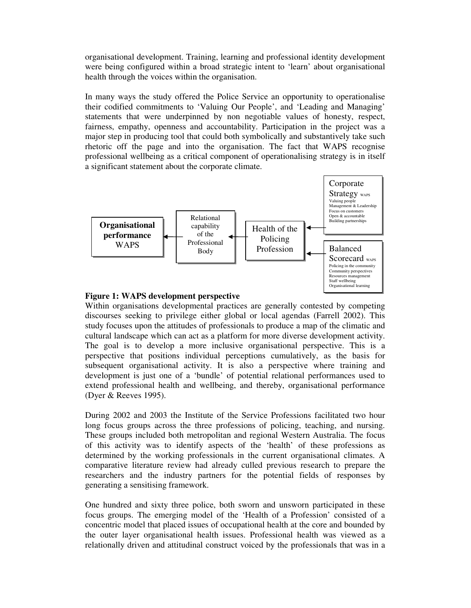organisational development. Training, learning and professional identity development were being configured within a broad strategic intent to 'learn' about organisational health through the voices within the organisation.

In many ways the study offered the Police Service an opportunity to operationalise their codified commitments to 'Valuing Our People', and 'Leading and Managing' statements that were underpinned by non negotiable values of honesty, respect, fairness, empathy, openness and accountability. Participation in the project was a major step in producing tool that could both symbolically and substantively take such rhetoric off the page and into the organisation. The fact that WAPS recognise professional wellbeing as a critical component of operationalising strategy is in itself a significant statement about the corporate climate.



## **Figure 1: WAPS development perspective**

Within organisations developmental practices are generally contested by competing discourses seeking to privilege either global or local agendas (Farrell 2002). This study focuses upon the attitudes of professionals to produce a map of the climatic and cultural landscape which can act as a platform for more diverse development activity. The goal is to develop a more inclusive organisational perspective. This is a perspective that positions individual perceptions cumulatively, as the basis for subsequent organisational activity. It is also a perspective where training and development is just one of a 'bundle' of potential relational performances used to extend professional health and wellbeing, and thereby, organisational performance (Dyer & Reeves 1995).

During 2002 and 2003 the Institute of the Service Professions facilitated two hour long focus groups across the three professions of policing, teaching, and nursing. These groups included both metropolitan and regional Western Australia. The focus of this activity was to identify aspects of the 'health' of these professions as determined by the working professionals in the current organisational climates. A comparative literature review had already culled previous research to prepare the researchers and the industry partners for the potential fields of responses by generating a sensitising framework.

One hundred and sixty three police, both sworn and unsworn participated in these focus groups. The emerging model of the 'Health of a Profession' consisted of a concentric model that placed issues of occupational health at the core and bounded by the outer layer organisational health issues. Professional health was viewed as a relationally driven and attitudinal construct voiced by the professionals that was in a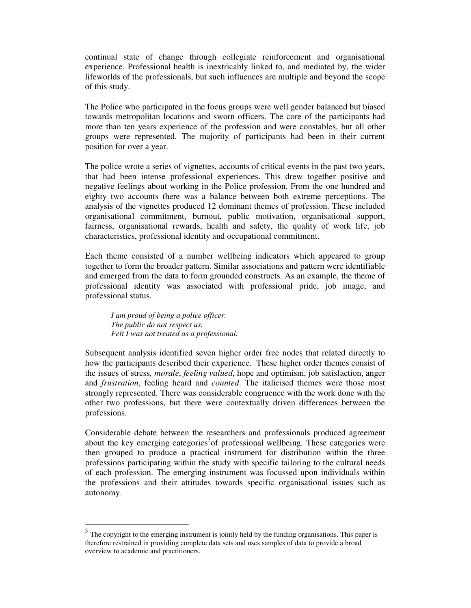continual state of change through collegiate reinforcement and organisational experience. Professional health is inextricably linked to, and mediated by, the wider lifeworlds of the professionals, but such influences are multiple and beyond the scope of this study.

The Police who participated in the focus groups were well gender balanced but biased towards metropolitan locations and sworn officers. The core of the participants had more than ten years experience of the profession and were constables, but all other groups were represented. The majority of participants had been in their current position for over a year.

The police wrote a series of vignettes, accounts of critical events in the past two years, that had been intense professional experiences. This drew together positive and negative feelings about working in the Police profession. From the one hundred and eighty two accounts there was a balance between both extreme perceptions. The analysis of the vignettes produced 12 dominant themes of profession. These included organisational commitment, burnout, public motivation, organisational support, fairness, organisational rewards, health and safety, the quality of work life, job characteristics, professional identity and occupational commitment.

Each theme consisted of a number wellbeing indicators which appeared to group together to form the broader pattern. Similar associations and pattern were identifiable and emerged from the data to form grounded constructs. As an example, the theme of professional identity was associated with professional pride, job image, and professional status.

*I am proud of being a police officer. The public do not respect us. Felt I was not treated as a professional.*

Subsequent analysis identified seven higher order free nodes that related directly to how the participants described their experience. These higher order themes consist of the issues of stress*, morale*, *feeling valued*, hope and optimism, job satisfaction, anger and *frustration*, feeling heard and *counted*. The italicised themes were those most strongly represented. There was considerable congruence with the work done with the other two professions, but there were contextually driven differences between the professions.

Considerable debate between the researchers and professionals produced agreement about the key emerging categories<sup>3</sup> of professional wellbeing. These categories were then grouped to produce a practical instrument for distribution within the three professions participating within the study with specific tailoring to the cultural needs of each profession. The emerging instrument was focussed upon individuals within the professions and their attitudes towards specific organisational issues such as autonomy.

 $3$  The copyright to the emerging instrument is jointly held by the funding organisations. This paper is therefore restrained in providing complete data sets and uses samples of data to provide a broad overview to academic and practitioners.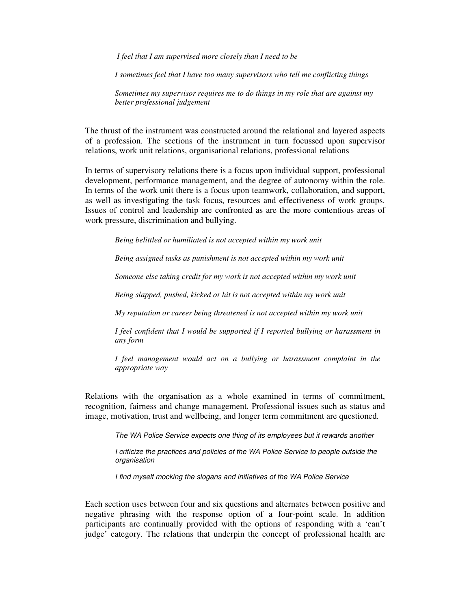*I feel that I am supervised more closely than I need to be*

*I sometimes feel that I have too many supervisors who tell me conflicting things*

*Sometimes my supervisor requires me to do things in my role that are against my better professional judgement*

The thrust of the instrument was constructed around the relational and layered aspects of a profession. The sections of the instrument in turn focussed upon supervisor relations, work unit relations, organisational relations, professional relations

In terms of supervisory relations there is a focus upon individual support, professional development, performance management, and the degree of autonomy within the role. In terms of the work unit there is a focus upon teamwork, collaboration, and support, as well as investigating the task focus, resources and effectiveness of work groups. Issues of control and leadership are confronted as are the more contentious areas of work pressure, discrimination and bullying.

*Being belittled or humiliated is not accepted within my work unit*

*Being assigned tasks as punishment is not accepted within my work unit*

*Someone else taking credit for my work is not accepted within my work unit*

*Being slapped, pushed, kicked or hit is not accepted within my work unit*

*My reputation or career being threatened is not accepted within my work unit*

*I feel confident that I would be supported if I reported bullying or harassment in any form*

*I feel management would act on a bullying or harassment complaint in the appropriate way*

Relations with the organisation as a whole examined in terms of commitment, recognition, fairness and change management. Professional issues such as status and image, motivation, trust and wellbeing, and longer term commitment are questioned.

*The WA Police Service expects one thing of its employees but it rewards another*

*I criticize the practices and policies of the WA Police Service to people outside the organisation*

*I find myself mocking the slogans and initiatives of the WA Police Service*

Each section uses between four and six questions and alternates between positive and negative phrasing with the response option of a four-point scale. In addition participants are continually provided with the options of responding with a 'can't judge' category. The relations that underpin the concept of professional health are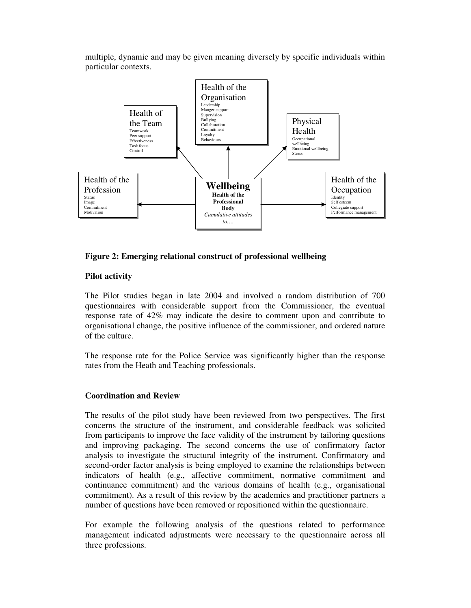multiple, dynamic and may be given meaning diversely by specific individuals within particular contexts.



## **Figure 2: Emerging relational construct of professional wellbeing**

## **Pilot activity**

The Pilot studies began in late 2004 and involved a random distribution of 700 questionnaires with considerable support from the Commissioner, the eventual response rate of 42% may indicate the desire to comment upon and contribute to organisational change, the positive influence of the commissioner, and ordered nature of the culture.

The response rate for the Police Service was significantly higher than the response rates from the Heath and Teaching professionals.

## **Coordination and Review**

The results of the pilot study have been reviewed from two perspectives. The first concerns the structure of the instrument, and considerable feedback was solicited from participants to improve the face validity of the instrument by tailoring questions and improving packaging. The second concerns the use of confirmatory factor analysis to investigate the structural integrity of the instrument. Confirmatory and second-order factor analysis is being employed to examine the relationships between indicators of health (e.g., affective commitment, normative commitment and continuance commitment) and the various domains of health (e.g., organisational commitment). As a result of this review by the academics and practitioner partners a number of questions have been removed or repositioned within the questionnaire.

For example the following analysis of the questions related to performance management indicated adjustments were necessary to the questionnaire across all three professions.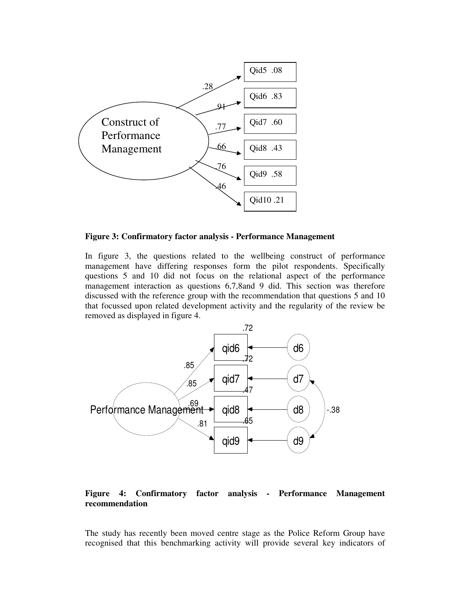

**Figure 3: Confirmatory factor analysis - Performance Management**

In figure 3, the questions related to the wellbeing construct of performance management have differing responses form the pilot respondents. Specifically questions 5 and 10 did not focus on the relational aspect of the performance management interaction as questions 6,7,8and 9 did. This section was therefore discussed with the reference group with the recommendation that questions 5 and 10 that focussed upon related development activity and the regularity of the review be removed as displayed in figure 4.



**Figure 4: Confirmatory factor analysis - Performance Management recommendation**

The study has recently been moved centre stage as the Police Reform Group have recognised that this benchmarking activity will provide several key indicators of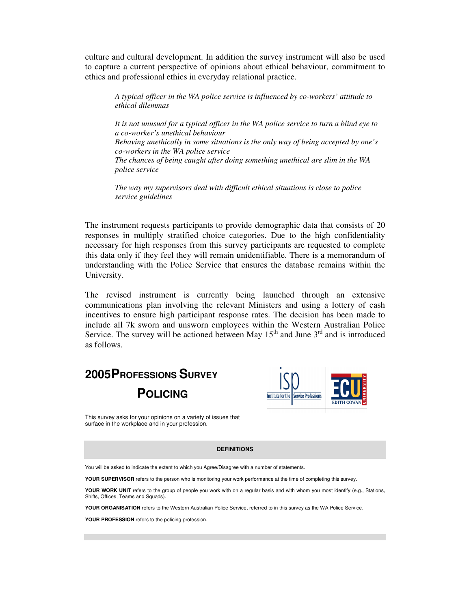culture and cultural development. In addition the survey instrument will also be used to capture a current perspective of opinions about ethical behaviour, commitment to ethics and professional ethics in everyday relational practice.

*A typical officer in the WA police service is influenced by co-workers' attitude to ethical dilemmas*

*It is not unusual for a typical officer in the WA police service to turn a blind eye to a co-worker's unethical behaviour Behaving unethically in some situations is the only way of being accepted by one's co-workers in the WA police service The chances of being caught after doing something unethical are slim in the WA police service*

*The way my supervisors deal with difficult ethical situations is close to police service guidelines*

The instrument requests participants to provide demographic data that consists of 20 responses in multiply stratified choice categories. Due to the high confidentiality necessary for high responses from this survey participants are requested to complete this data only if they feel they will remain unidentifiable. There is a memorandum of understanding with the Police Service that ensures the database remains within the University.

The revised instrument is currently being launched through an extensive communications plan involving the relevant Ministers and using a lottery of cash incentives to ensure high participant response rates. The decision has been made to include all 7k sworn and unsworn employees within the Western Australian Police Service. The survey will be actioned between May  $15<sup>th</sup>$  and June  $3<sup>rd</sup>$  and is introduced as follows.

# **2005PROFESSIONS SURVEY POLICING**



This survey asks for your opinions on a variety of issues that surface in the workplace and in your profession.

#### **DEFINITIONS**

You will be asked to indicate the extent to which you Agree/Disagree with a number of statements.

**YOUR SUPERVISOR** refers to the person who is monitoring your work performance at the time of completing this survey.

**YOUR WORK UNIT** refers to the group of people you work with on a regular basis and with whom you most identify (e.g., Stations, Shifts, Offices, Teams and Squads).

**YOUR ORGANISATION** refers to the Western Australian Police Service, referred to in this survey as the WA Police Service.

**YOUR PROFESSION** refers to the policing profession.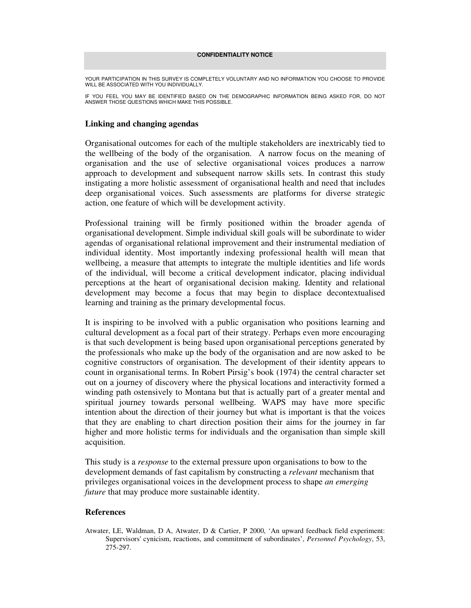### **CONFIDENTIALITY NOTICE**

YOUR PARTICIPATION IN THIS SURVEY IS COMPLETELY VOLUNTARY AND NO INFORMATION YOU CHOOSE TO PROVIDE WILL BE ASSOCIATED WITH YOU INDIVIDUALLY.

IF YOU FEEL YOU MAY BE IDENTIFIED BASED ON THE DEMOGRAPHIC INFORMATION BEING ASKED FOR, DO NOT ANSWER THOSE QUESTIONS WHICH MAKE THIS POSSIBLE.

### **Linking and changing agendas**

Organisational outcomes for each of the multiple stakeholders are inextricably tied to the wellbeing of the body of the organisation. A narrow focus on the meaning of organisation and the use of selective organisational voices produces a narrow approach to development and subsequent narrow skills sets. In contrast this study instigating a more holistic assessment of organisational health and need that includes deep organisational voices. Such assessments are platforms for diverse strategic action, one feature of which will be development activity.

Professional training will be firmly positioned within the broader agenda of organisational development. Simple individual skill goals will be subordinate to wider agendas of organisational relational improvement and their instrumental mediation of individual identity. Most importantly indexing professional health will mean that wellbeing, a measure that attempts to integrate the multiple identities and life words of the individual, will become a critical development indicator, placing individual perceptions at the heart of organisational decision making. Identity and relational development may become a focus that may begin to displace decontextualised learning and training as the primary developmental focus.

It is inspiring to be involved with a public organisation who positions learning and cultural development as a focal part of their strategy. Perhaps even more encouraging is that such development is being based upon organisational perceptions generated by the professionals who make up the body of the organisation and are now asked to be cognitive constructors of organisation. The development of their identity appears to count in organisational terms. In Robert Pirsig's book (1974) the central character set out on a journey of discovery where the physical locations and interactivity formed a winding path ostensively to Montana but that is actually part of a greater mental and spiritual journey towards personal wellbeing. WAPS may have more specific intention about the direction of their journey but what is important is that the voices that they are enabling to chart direction position their aims for the journey in far higher and more holistic terms for individuals and the organisation than simple skill acquisition.

This study is a *response* to the external pressure upon organisations to bow to the development demands of fast capitalism by constructing a *relevant* mechanism that privileges organisational voices in the development process to shape *an emerging future* that may produce more sustainable identity.

### **References**

Atwater, LE, Waldman, D A, Atwater, D & Cartier, P 2000, 'An upward feedback field experiment: Supervisors'cynicism, reactions, and commitment of subordinates', *Personnel Psychology*, 53, 275-297.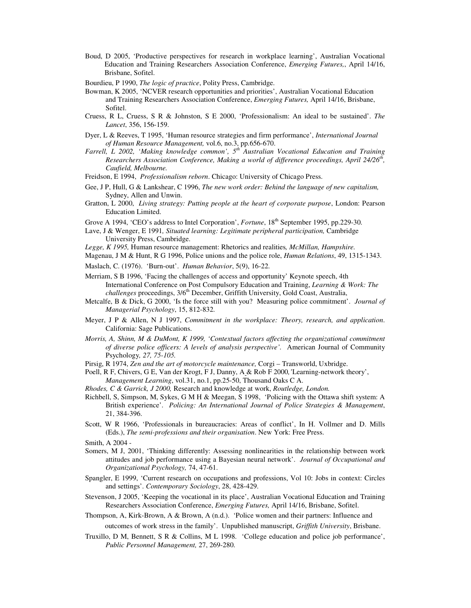- Boud, D 2005, 'Productive perspectives for research in workplace learning', Australian Vocational Education and Training Researchers Association Conference, *Emerging Futures,*, April 14/16, Brisbane, Sofitel.
- Bourdieu, P 1990, *The logic of practice*, Polity Press, Cambridge.
- Bowman, K 2005, 'NCVER research opportunities and priorities', Australian Vocational Education and Training Researchers Association Conference, *Emerging Futures,* April 14/16, Brisbane, Sofitel.
- Cruess, R L, Cruess, S R & Johnston, S E 2000, 'Professionalism: An ideal to be sustained'. *The Lancet*, 356, 156-159.
- Dyer, L & Reeves, T 1995, 'Human resource strategies and firm performance', *International Journal of Human Resource Management,* vol.6, no.3, pp.656-670.
- *Farrell, L 2002, 'Making knowledge common', 5 th Australian Vocational Education and Training Researchers Association Conference, Making a world of difference proceedings, April 24/26 th , Caufield, Melbourne.*
- Freidson, E 1994, *Professionalism reborn*. Chicago: University of Chicago Press.
- Gee, J P, Hull, G & Lankshear, C 1996, *The new work order: Behind the language of new capitalism,* Sydney, Allen and Unwin.
- Gratton, L 2000, *Living strategy: Putting people at the heart of corporate purpose*, London: Pearson Education Limited.
- Grove A 1994, 'CEO's address to Intel Corporation', *Fortune*, 18<sup>th</sup> September 1995, pp.229-30.
- Lave, J & Wenger, E 1991*, Situated learning: Legitimate peripheral participation,* Cambridge University Press, Cambridge.
- *Legge, K 1995,* Human resource management: Rhetorics and realities*, McMillan, Hampshire.*
- Magenau, J M & Hunt, R G 1996, Police unions and the police role, *Human Relations*, 49, 1315-1343.
- Maslach, C. (1976). 'Burn-out'. *Human Behavior*, 5(9), 16-22.
- Merriam, S B 1996, 'Facing the challenges of access and opportunity' Keynote speech, 4th International Conference on Post Compulsory Education and Training, *Learning & Work: The* challenges proceedings, 3/6<sup>th</sup> December, Griffith University, Gold Coast, Australia,
- Metcalfe, B & Dick, G 2000, 'Is the force still with you? Measuring police commitment'. *Journal of Managerial Psychology*, 15, 812-832.
- Meyer, J P & Allen, N J 1997, *Commitment in the workplace: Theory, research, and application*. California: Sage Publications.
- *Morris, A, Shinn, M & DuMont, K 1999, 'Contextual factors affecting the organizational commitment of diverse police officers: A levels of analysis perspective'.* American Journal of Community Psychology*, 27, 75-105.*
- Pirsig, R 1974, *Zen and the art of motorcycle maintenance,* Corgi Transworld, Uxbridge.
- Poell, R F, Chivers, G E, Van der Krogt, F J, Danny, A & Rob F 2000*,'*Learning-network theory', *Management Learning*, vol.31, no.1, pp.25-50, Thousand Oaks C A.
- *Rhodes, C & Garrick, J 2000,* Research and knowledge at work, *Routledge, London.*
- Richbell, S, Simpson, M, Sykes, G M H & Meegan, S 1998, 'Policing with the Ottawa shift system: A British experience'. *Policing: An International Journal of Police Strategies & Management*, 21, 384-396.
- Scott, W R 1966, 'Professionals in bureaucracies: Areas of conflict', In H. Vollmer and D. Mills (Eds.), *The semi-professions and their organisation*. New York: Free Press.

- Somers, M J, 2001, 'Thinking differently: Assessing nonlinearities in the relationship between work attitudes and job performance using a Bayesian neural network'. *Journal of Occupational and Organizational Psychology,* 74, 47-61.
- Spangler, E 1999, 'Current research on occupations and professions, Vol 10: Jobs in context: Circles and settings'. *Contemporary Sociology*, 28, 428-429.
- Stevenson, J 2005, 'Keeping the vocational in its place', Australian Vocational Education and Training Researchers Association Conference, *Emerging Futures,* April 14/16, Brisbane, Sofitel.
- Thompson, A, Kirk-Brown, A & Brown, A (n.d.). 'Police women and their partners: Influence and outcomes of work stress in the family'. Unpublished manuscript, *Griffith University*, Brisbane.
- Truxillo, D M, Bennett, S R & Collins, M L 1998. 'College education and police job performance', *Public Personnel Management,* 27, 269-280.

Smith, A 2004 -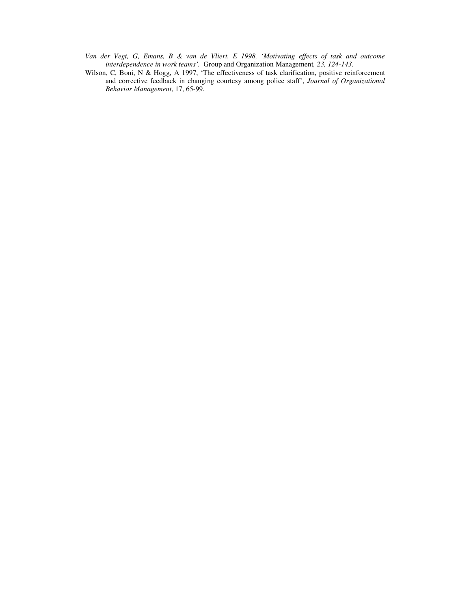- *Van der Vegt, G, Emans, B & van de Vliert, E 1998, 'Motivating effects of task and outcome interdependence in work teams'.* Group and Organization Management*, 23, 124-143.*
- Wilson, C, Boni, N & Hogg, A 1997, 'The effectiveness of task clarification, positive reinforcement and corrective feedback in changing courtesy among police staff', *Journal of Organizational Behavior Management*, 17, 65-99.